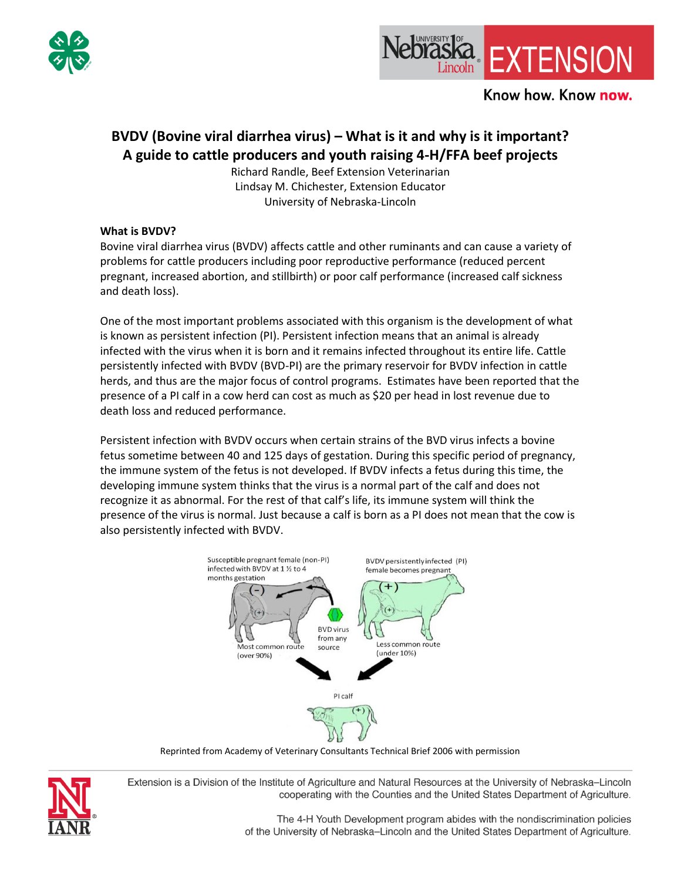



# **BVDV (Bovine viral diarrhea virus) – What is it and why is it important? A guide to cattle producers and youth raising 4-H/FFA beef projects**

Richard Randle, Beef Extension Veterinarian Lindsay M. Chichester, Extension Educator University of Nebraska-Lincoln

### **What is BVDV?**

Bovine viral diarrhea virus (BVDV) affects cattle and other ruminants and can cause a variety of problems for cattle producers including poor reproductive performance (reduced percent pregnant, increased abortion, and stillbirth) or poor calf performance (increased calf sickness and death loss).

One of the most important problems associated with this organism is the development of what is known as persistent infection (PI). Persistent infection means that an animal is already infected with the virus when it is born and it remains infected throughout its entire life. Cattle persistently infected with BVDV (BVD-PI) are the primary reservoir for BVDV infection in cattle herds, and thus are the major focus of control programs. Estimates have been reported that the presence of a PI calf in a cow herd can cost as much as \$20 per head in lost revenue due to death loss and reduced performance.

Persistent infection with BVDV occurs when certain strains of the BVD virus infects a bovine fetus sometime between 40 and 125 days of gestation. During this specific period of pregnancy, the immune system of the fetus is not developed. If BVDV infects a fetus during this time, the developing immune system thinks that the virus is a normal part of the calf and does not recognize it as abnormal. For the rest of that calf's life, its immune system will think the presence of the virus is normal. Just because a calf is born as a PI does not mean that the cow is also persistently infected with BVDV.



Reprinted from Academy of Veterinary Consultants Technical Brief 2006 with permission



Extension is a Division of the Institute of Agriculture and Natural Resources at the University of Nebraska-Lincoln cooperating with the Counties and the United States Department of Agriculture.

> The 4-H Youth Development program abides with the nondiscrimination policies of the University of Nebraska-Lincoln and the United States Department of Agriculture.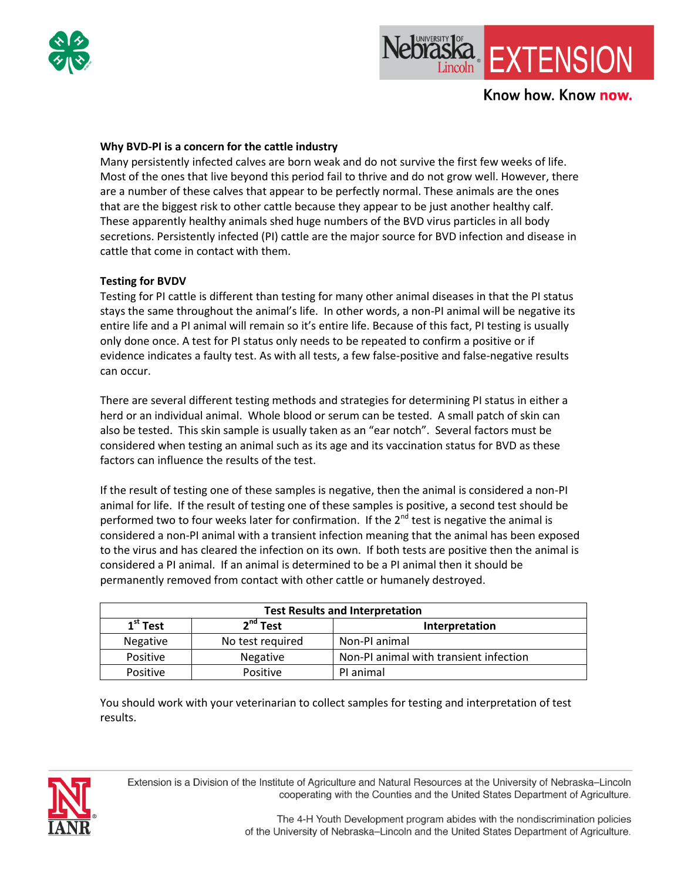



### Know how. Know now.

#### **Why BVD-PI is a concern for the cattle industry**

Many persistently infected calves are born weak and do not survive the first few weeks of life. Most of the ones that live beyond this period fail to thrive and do not grow well. However, there are a number of these calves that appear to be perfectly normal. These animals are the ones that are the biggest risk to other cattle because they appear to be just another healthy calf. These apparently healthy animals shed huge numbers of the BVD virus particles in all body secretions. Persistently infected (PI) cattle are the major source for BVD infection and disease in cattle that come in contact with them.

#### **Testing for BVDV**

Testing for PI cattle is different than testing for many other animal diseases in that the PI status stays the same throughout the animal's life. In other words, a non-PI animal will be negative its entire life and a PI animal will remain so it's entire life. Because of this fact, PI testing is usually only done once. A test for PI status only needs to be repeated to confirm a positive or if evidence indicates a faulty test. As with all tests, a few false-positive and false-negative results can occur.

There are several different testing methods and strategies for determining PI status in either a herd or an individual animal. Whole blood or serum can be tested. A small patch of skin can also be tested. This skin sample is usually taken as an "ear notch". Several factors must be considered when testing an animal such as its age and its vaccination status for BVD as these factors can influence the results of the test.

If the result of testing one of these samples is negative, then the animal is considered a non-PI animal for life. If the result of testing one of these samples is positive, a second test should be performed two to four weeks later for confirmation. If the  $2^{nd}$  test is negative the animal is considered a non-PI animal with a transient infection meaning that the animal has been exposed to the virus and has cleared the infection on its own. If both tests are positive then the animal is considered a PI animal. If an animal is determined to be a PI animal then it should be permanently removed from contact with other cattle or humanely destroyed.

| <b>Test Results and Interpretation</b> |                  |                                        |
|----------------------------------------|------------------|----------------------------------------|
| $1st$ Test                             | $2nd$ Test       | Interpretation                         |
| <b>Negative</b>                        | No test required | Non-PI animal                          |
| Positive                               | Negative         | Non-PI animal with transient infection |
| Positive                               | Positive         | PI animal                              |

You should work with your veterinarian to collect samples for testing and interpretation of test results.



Extension is a Division of the Institute of Agriculture and Natural Resources at the University of Nebraska-Lincoln cooperating with the Counties and the United States Department of Agriculture.